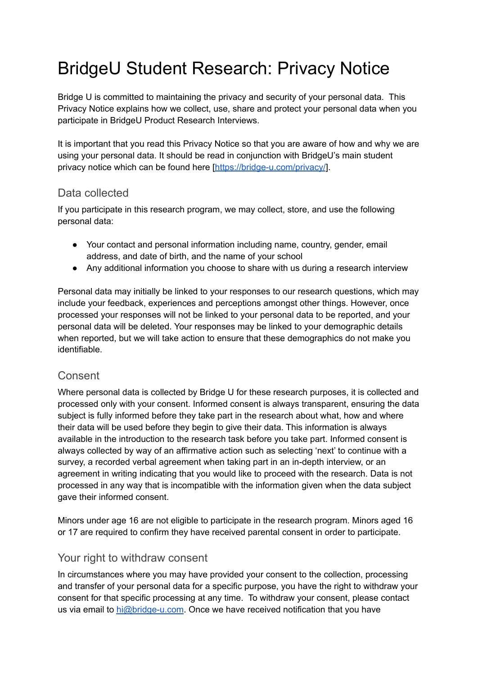# BridgeU Student Research: Privacy Notice

Bridge U is committed to maintaining the privacy and security of your personal data. This Privacy Notice explains how we collect, use, share and protect your personal data when you participate in BridgeU Product Research Interviews.

It is important that you read this Privacy Notice so that you are aware of how and why we are using your personal data. It should be read in conjunction with BridgeU's main student privacy notice which can be found here [\[https://bridge-u.com/privacy/](https://bridge-u.com/privacy/)].

## Data collected

If you participate in this research program, we may collect, store, and use the following personal data:

- Your contact and personal information including name, country, gender, email address, and date of birth, and the name of your school
- Any additional information you choose to share with us during a research interview

Personal data may initially be linked to your responses to our research questions, which may include your feedback, experiences and perceptions amongst other things. However, once processed your responses will not be linked to your personal data to be reported, and your personal data will be deleted. Your responses may be linked to your demographic details when reported, but we will take action to ensure that these demographics do not make you identifiable.

### Consent

Where personal data is collected by Bridge U for these research purposes, it is collected and processed only with your consent. Informed consent is always transparent, ensuring the data subject is fully informed before they take part in the research about what, how and where their data will be used before they begin to give their data. This information is always available in the introduction to the research task before you take part. Informed consent is always collected by way of an affirmative action such as selecting 'next' to continue with a survey, a recorded verbal agreement when taking part in an in-depth interview, or an agreement in writing indicating that you would like to proceed with the research. Data is not processed in any way that is incompatible with the information given when the data subject gave their informed consent.

Minors under age 16 are not eligible to participate in the research program. Minors aged 16 or 17 are required to confirm they have received parental consent in order to participate.

### Your right to withdraw consent

In circumstances where you may have provided your consent to the collection, processing and transfer of your personal data for a specific purpose, you have the right to withdraw your consent for that specific processing at any time. To withdraw your consent, please contact us via email to [hi@bridge-u.com](mailto:hi@bridge-u.com). Once we have received notification that you have